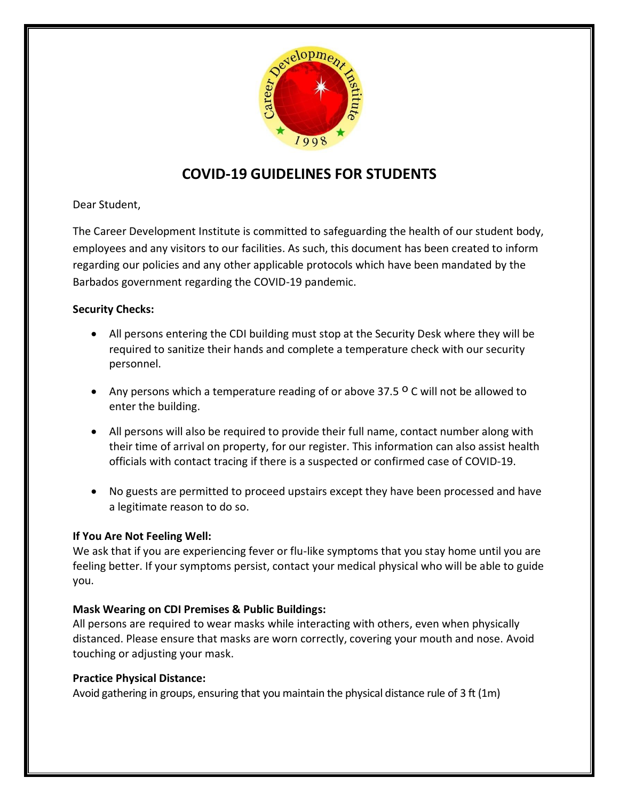

# **COVID-19 GUIDELINES FOR STUDENTS**

Dear Student,

The Career Development Institute is committed to safeguarding the health of our student body, employees and any visitors to our facilities. As such, this document has been created to inform regarding our policies and any other applicable protocols which have been mandated by the Barbados government regarding the COVID-19 pandemic.

# **Security Checks:**

- All persons entering the CDI building must stop at the Security Desk where they will be required to sanitize their hands and complete a temperature check with our security personnel.
- Any persons which a temperature reading of or above 37.5 ° C will not be allowed to enter the building.
- All persons will also be required to provide their full name, contact number along with their time of arrival on property, for our register. This information can also assist health officials with contact tracing if there is a suspected or confirmed case of COVID-19.
- No guests are permitted to proceed upstairs except they have been processed and have a legitimate reason to do so.

# **If You Are Not Feeling Well:**

We ask that if you are experiencing fever or flu-like symptoms that you stay home until you are feeling better. If your symptoms persist, contact your medical physical who will be able to guide you.

# **Mask Wearing on CDI Premises & Public Buildings:**

All persons are required to wear masks while interacting with others, even when physically distanced. Please ensure that masks are worn correctly, covering your mouth and nose. Avoid touching or adjusting your mask.

# **Practice Physical Distance:**

Avoid gathering in groups, ensuring that you maintain the physical distance rule of 3 ft (1m)